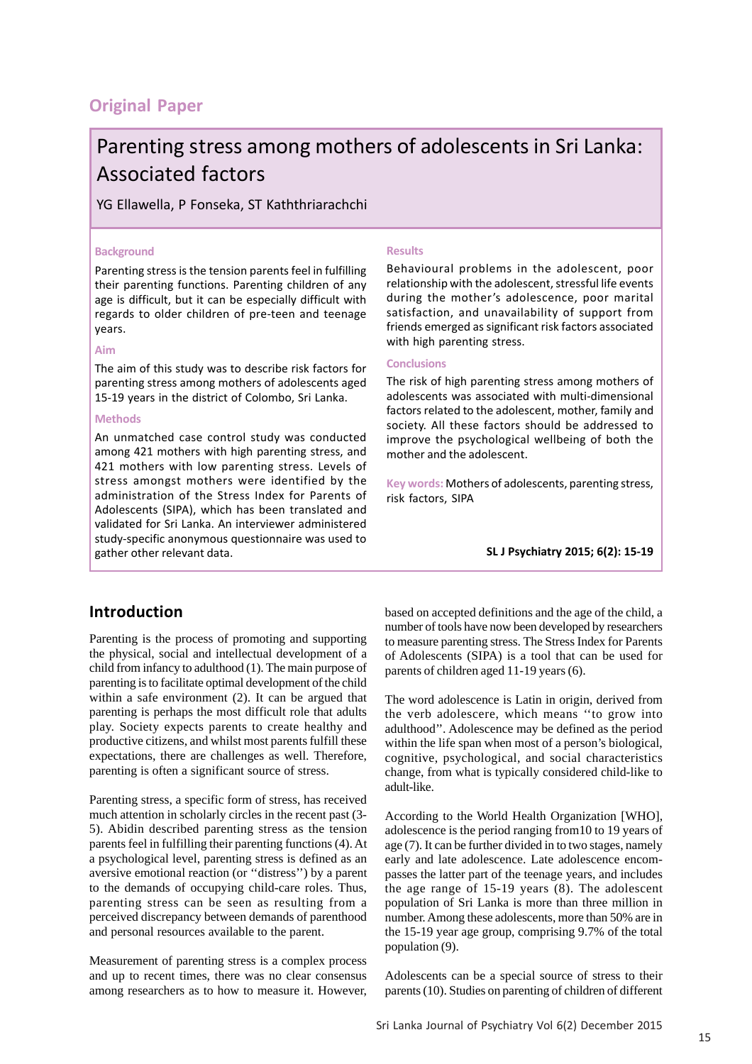# **Original Paper**

# Parenting stress among mothers of adolescents in Sri Lanka: Associated factors

## YG Ellawella, P Fonseka, ST Kaththriarachchi

#### **Background**

Parenting stress is the tension parents feel in fulfilling their parenting functions. Parenting children of any age is difficult, but it can be especially difficult with regards to older children of pre-teen and teenage years.

#### **Aim**

The aim of this study was to describe risk factors for parenting stress among mothers of adolescents aged 15-19 years in the district of Colombo, Sri Lanka.

#### **Methods**

An unmatched case control study was conducted among 421 mothers with high parenting stress, and 421 mothers with low parenting stress. Levels of stress amongst mothers were identified by the administration of the Stress Index for Parents of Adolescents (SIPA), which has been translated and validated for Sri Lanka. An interviewer administered study-specific anonymous questionnaire was used to gather other relevant data.

#### **Results**

Behavioural problems in the adolescent, poor relationship with the adolescent, stressful life events during the mother's adolescence, poor marital satisfaction, and unavailability of support from friends emerged as significant risk factors associated with high parenting stress.

#### **Conclusions**

The risk of high parenting stress among mothers of adolescents was associated with multi-dimensional factors related to the adolescent, mother, family and society. All these factors should be addressed to improve the psychological wellbeing of both the mother and the adolescent.

**Key words:** Mothers of adolescents, parenting stress, risk factors, SIPA

**SL J Psychiatry 2015; 6(2): 15-19**

## **Introduction**

Parenting is the process of promoting and supporting the physical, social and intellectual development of a child from infancy to adulthood (1). The main purpose of parenting is to facilitate optimal development of the child within a safe environment (2). It can be argued that parenting is perhaps the most difficult role that adults play. Society expects parents to create healthy and productive citizens, and whilst most parents fulfill these expectations, there are challenges as well. Therefore, parenting is often a significant source of stress.

Parenting stress, a specific form of stress, has received much attention in scholarly circles in the recent past (3- 5). Abidin described parenting stress as the tension parents feel in fulfilling their parenting functions (4). At a psychological level, parenting stress is defined as an aversive emotional reaction (or ''distress'') by a parent to the demands of occupying child-care roles. Thus, parenting stress can be seen as resulting from a perceived discrepancy between demands of parenthood and personal resources available to the parent.

Measurement of parenting stress is a complex process and up to recent times, there was no clear consensus among researchers as to how to measure it. However, based on accepted definitions and the age of the child, a number of tools have now been developed by researchers to measure parenting stress. The Stress Index for Parents of Adolescents (SIPA) is a tool that can be used for parents of children aged 11-19 years (6).

The word adolescence is Latin in origin, derived from the verb adolescere, which means ''to grow into adulthood''. Adolescence may be defined as the period within the life span when most of a person's biological, cognitive, psychological, and social characteristics change, from what is typically considered child-like to adult-like.

According to the World Health Organization [WHO], adolescence is the period ranging from10 to 19 years of age (7). It can be further divided in to two stages, namely early and late adolescence. Late adolescence encompasses the latter part of the teenage years, and includes the age range of 15-19 years (8). The adolescent population of Sri Lanka is more than three million in number. Among these adolescents, more than 50% are in the 15-19 year age group, comprising 9.7% of the total population (9).

Adolescents can be a special source of stress to their parents (10). Studies on parenting of children of different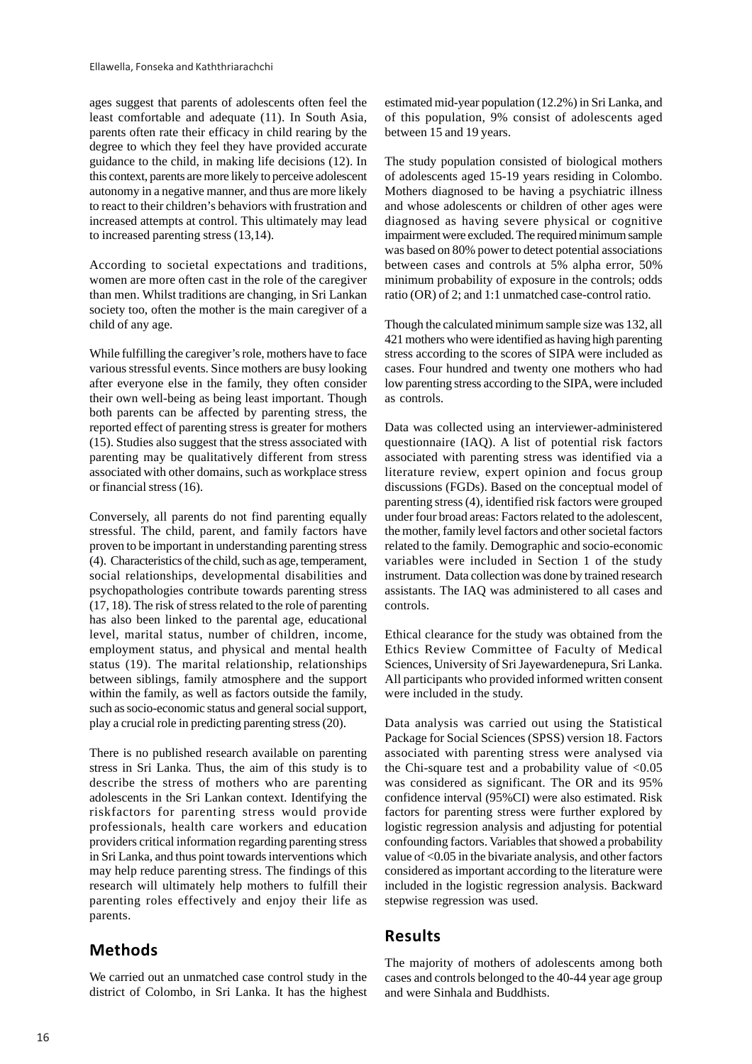ages suggest that parents of adolescents often feel the least comfortable and adequate (11). In South Asia, parents often rate their efficacy in child rearing by the degree to which they feel they have provided accurate guidance to the child, in making life decisions (12). In this context, parents are more likely to perceive adolescent autonomy in a negative manner, and thus are more likely to react to their children's behaviors with frustration and increased attempts at control. This ultimately may lead to increased parenting stress (13,14).

According to societal expectations and traditions, women are more often cast in the role of the caregiver than men. Whilst traditions are changing, in Sri Lankan society too, often the mother is the main caregiver of a child of any age.

While fulfilling the caregiver's role, mothers have to face various stressful events. Since mothers are busy looking after everyone else in the family, they often consider their own well-being as being least important. Though both parents can be affected by parenting stress, the reported effect of parenting stress is greater for mothers (15). Studies also suggest that the stress associated with parenting may be qualitatively different from stress associated with other domains, such as workplace stress or financial stress (16).

Conversely, all parents do not find parenting equally stressful. The child, parent, and family factors have proven to be important in understanding parenting stress (4). Characteristics of the child, such as age, temperament, social relationships, developmental disabilities and psychopathologies contribute towards parenting stress (17, 18). The risk of stress related to the role of parenting has also been linked to the parental age, educational level, marital status, number of children, income, employment status, and physical and mental health status (19). The marital relationship, relationships between siblings, family atmosphere and the support within the family, as well as factors outside the family, such as socio-economic status and general social support, play a crucial role in predicting parenting stress (20).

There is no published research available on parenting stress in Sri Lanka. Thus, the aim of this study is to describe the stress of mothers who are parenting adolescents in the Sri Lankan context. Identifying the riskfactors for parenting stress would provide professionals, health care workers and education providers critical information regarding parenting stress in Sri Lanka, and thus point towards interventions which may help reduce parenting stress. The findings of this research will ultimately help mothers to fulfill their parenting roles effectively and enjoy their life as parents.

# **Methods**

We carried out an unmatched case control study in the district of Colombo, in Sri Lanka. It has the highest estimated mid-year population (12.2%) in Sri Lanka, and of this population, 9% consist of adolescents aged between 15 and 19 years.

The study population consisted of biological mothers of adolescents aged 15-19 years residing in Colombo. Mothers diagnosed to be having a psychiatric illness and whose adolescents or children of other ages were diagnosed as having severe physical or cognitive impairment were excluded. The required minimum sample was based on 80% power to detect potential associations between cases and controls at 5% alpha error, 50% minimum probability of exposure in the controls; odds ratio (OR) of 2; and 1:1 unmatched case-control ratio.

Though the calculated minimum sample size was 132, all 421 mothers who were identified as having high parenting stress according to the scores of SIPA were included as cases. Four hundred and twenty one mothers who had low parenting stress according to the SIPA, were included as controls.

Data was collected using an interviewer-administered questionnaire (IAQ). A list of potential risk factors associated with parenting stress was identified via a literature review, expert opinion and focus group discussions (FGDs). Based on the conceptual model of parenting stress (4), identified risk factors were grouped under four broad areas: Factors related to the adolescent, the mother, family level factors and other societal factors related to the family. Demographic and socio-economic variables were included in Section 1 of the study instrument. Data collection was done by trained research assistants. The IAQ was administered to all cases and controls.

Ethical clearance for the study was obtained from the Ethics Review Committee of Faculty of Medical Sciences, University of Sri Jayewardenepura, Sri Lanka. All participants who provided informed written consent were included in the study.

Data analysis was carried out using the Statistical Package for Social Sciences (SPSS) version 18. Factors associated with parenting stress were analysed via the Chi-square test and a probability value of  $\langle 0.05 \rangle$ was considered as significant. The OR and its 95% confidence interval (95%CI) were also estimated. Risk factors for parenting stress were further explored by logistic regression analysis and adjusting for potential confounding factors. Variables that showed a probability value of <0.05 in the bivariate analysis, and other factors considered as important according to the literature were included in the logistic regression analysis. Backward stepwise regression was used.

## **Results**

The majority of mothers of adolescents among both cases and controls belonged to the 40-44 year age group and were Sinhala and Buddhists.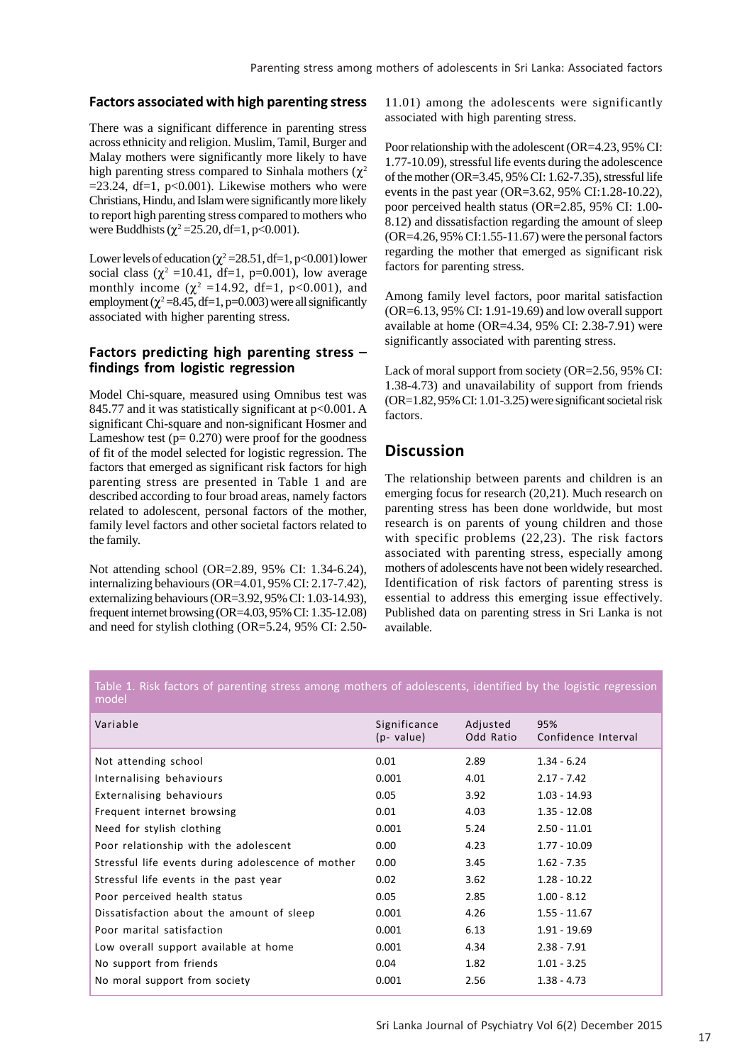#### **Factors associated with high parenting stress**

There was a significant difference in parenting stress across ethnicity and religion. Muslim, Tamil, Burger and Malay mothers were significantly more likely to have high parenting stress compared to Sinhala mothers ( $\chi^2$  $=$ 23.24, df $=$ 1, p<0.001). Likewise mothers who were Christians, Hindu, and Islam were significantly more likely to report high parenting stress compared to mothers who were Buddhists ( $\chi^2$ =25.20, df=1, p<0.001).

Lower levels of education ( $\chi^2$  = 28.51, df = 1, p< 0.001) lower social class ( $\chi^2$  =10.41, df=1, p=0.001), low average monthly income ( $\chi^2$  =14.92, df=1, p<0.001), and employment  $(\chi^2 = 8.45, df = 1, p = 0.003)$  were all significantly associated with higher parenting stress.

#### **Factors predicting high parenting stress – findings from logistic regression**

Model Chi-square, measured using Omnibus test was 845.77 and it was statistically significant at p<0.001. A significant Chi-square and non-significant Hosmer and Lameshow test  $(p= 0.270)$  were proof for the goodness of fit of the model selected for logistic regression. The factors that emerged as significant risk factors for high parenting stress are presented in Table 1 and are described according to four broad areas, namely factors related to adolescent, personal factors of the mother, family level factors and other societal factors related to the family.

Not attending school (OR=2.89, 95% CI: 1.34-6.24), internalizing behaviours (OR=4.01, 95% CI: 2.17-7.42), externalizing behaviours (OR=3.92, 95% CI: 1.03-14.93), frequent internet browsing (OR=4.03, 95% CI: 1.35-12.08) and need for stylish clothing (OR=5.24, 95% CI: 2.50-

11.01) among the adolescents were significantly associated with high parenting stress.

Poor relationship with the adolescent (OR=4.23, 95% CI: 1.77-10.09), stressful life events during the adolescence of the mother (OR=3.45, 95% CI: 1.62-7.35), stressful life events in the past year (OR=3.62, 95% CI:1.28-10.22), poor perceived health status (OR=2.85, 95% CI: 1.00- 8.12) and dissatisfaction regarding the amount of sleep (OR=4.26, 95% CI:1.55-11.67) were the personal factors regarding the mother that emerged as significant risk factors for parenting stress.

Among family level factors, poor marital satisfaction (OR=6.13, 95% CI: 1.91-19.69) and low overall support available at home (OR=4.34, 95% CI: 2.38-7.91) were significantly associated with parenting stress.

Lack of moral support from society (OR=2.56, 95% CI: 1.38-4.73) and unavailability of support from friends (OR=1.82, 95% CI: 1.01-3.25) were significant societal risk factors.

# **Discussion**

The relationship between parents and children is an emerging focus for research (20,21). Much research on parenting stress has been done worldwide, but most research is on parents of young children and those with specific problems (22,23). The risk factors associated with parenting stress, especially among mothers of adolescents have not been widely researched. Identification of risk factors of parenting stress is essential to address this emerging issue effectively. Published data on parenting stress in Sri Lanka is not available.

| Table 1. Risk factors of parenting stress among mothers of adolescents, identified by the logistic regression, |  |  |
|----------------------------------------------------------------------------------------------------------------|--|--|
| model                                                                                                          |  |  |

| Variable                                           | Significance<br>(p- value) | Adjusted<br>Odd Ratio | 95%<br>Confidence Interval |
|----------------------------------------------------|----------------------------|-----------------------|----------------------------|
| Not attending school                               | 0.01                       | 2.89                  | $1.34 - 6.24$              |
| Internalising behaviours                           | 0.001                      | 4.01                  | $2.17 - 7.42$              |
| <b>Externalising behaviours</b>                    | 0.05                       | 3.92                  | $1.03 - 14.93$             |
| Frequent internet browsing                         | 0.01                       | 4.03                  | $1.35 - 12.08$             |
| Need for stylish clothing                          | 0.001                      | 5.24                  | $2.50 - 11.01$             |
| Poor relationship with the adolescent              | 0.00                       | 4.23                  | $1.77 - 10.09$             |
| Stressful life events during adolescence of mother | 0.00                       | 3.45                  | $1.62 - 7.35$              |
| Stressful life events in the past year             | 0.02                       | 3.62                  | $1.28 - 10.22$             |
| Poor perceived health status                       | 0.05                       | 2.85                  | $1.00 - 8.12$              |
| Dissatisfaction about the amount of sleep          | 0.001                      | 4.26                  | $1.55 - 11.67$             |
| Poor marital satisfaction                          | 0.001                      | 6.13                  | 1.91 - 19.69               |
| Low overall support available at home              | 0.001                      | 4.34                  | $2.38 - 7.91$              |
| No support from friends                            | 0.04                       | 1.82                  | $1.01 - 3.25$              |
| No moral support from society                      | 0.001                      | 2.56                  | $1.38 - 4.73$              |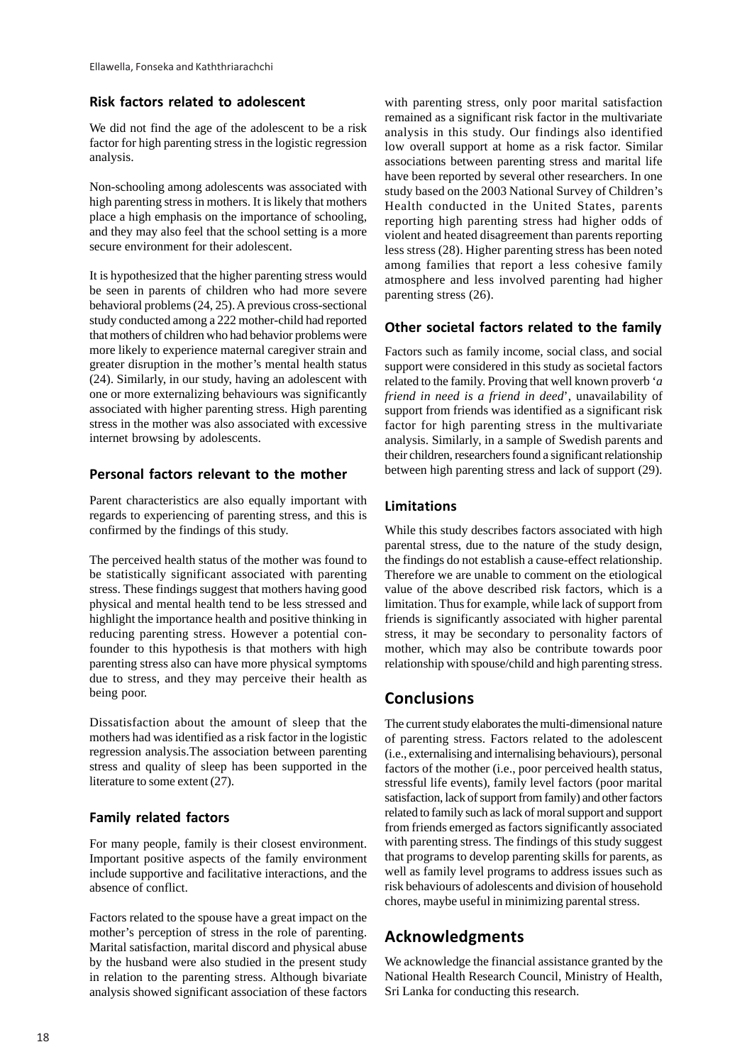#### **Risk factors related to adolescent**

We did not find the age of the adolescent to be a risk factor for high parenting stress in the logistic regression analysis.

Non-schooling among adolescents was associated with high parenting stress in mothers. It is likely that mothers place a high emphasis on the importance of schooling, and they may also feel that the school setting is a more secure environment for their adolescent.

It is hypothesized that the higher parenting stress would be seen in parents of children who had more severe behavioral problems (24, 25). A previous cross-sectional study conducted among a 222 mother-child had reported that mothers of children who had behavior problems were more likely to experience maternal caregiver strain and greater disruption in the mother's mental health status (24). Similarly, in our study, having an adolescent with one or more externalizing behaviours was significantly associated with higher parenting stress. High parenting stress in the mother was also associated with excessive internet browsing by adolescents.

## **Personal factors relevant to the mother**

Parent characteristics are also equally important with regards to experiencing of parenting stress, and this is confirmed by the findings of this study.

The perceived health status of the mother was found to be statistically significant associated with parenting stress. These findings suggest that mothers having good physical and mental health tend to be less stressed and highlight the importance health and positive thinking in reducing parenting stress. However a potential confounder to this hypothesis is that mothers with high parenting stress also can have more physical symptoms due to stress, and they may perceive their health as being poor.

Dissatisfaction about the amount of sleep that the mothers had was identified as a risk factor in the logistic regression analysis.The association between parenting stress and quality of sleep has been supported in the literature to some extent (27).

## **Family related factors**

For many people, family is their closest environment. Important positive aspects of the family environment include supportive and facilitative interactions, and the absence of conflict.

Factors related to the spouse have a great impact on the mother's perception of stress in the role of parenting. Marital satisfaction, marital discord and physical abuse by the husband were also studied in the present study in relation to the parenting stress. Although bivariate analysis showed significant association of these factors with parenting stress, only poor marital satisfaction remained as a significant risk factor in the multivariate analysis in this study. Our findings also identified low overall support at home as a risk factor. Similar associations between parenting stress and marital life have been reported by several other researchers. In one study based on the 2003 National Survey of Children's Health conducted in the United States, parents reporting high parenting stress had higher odds of violent and heated disagreement than parents reporting less stress (28). Higher parenting stress has been noted among families that report a less cohesive family atmosphere and less involved parenting had higher parenting stress (26).

## **Other societal factors related to the family**

Factors such as family income, social class, and social support were considered in this study as societal factors related to the family. Proving that well known proverb '*a friend in need is a friend in deed*', unavailability of support from friends was identified as a significant risk factor for high parenting stress in the multivariate analysis. Similarly, in a sample of Swedish parents and their children, researchers found a significant relationship between high parenting stress and lack of support (29).

## **Limitations**

While this study describes factors associated with high parental stress, due to the nature of the study design, the findings do not establish a cause-effect relationship. Therefore we are unable to comment on the etiological value of the above described risk factors, which is a limitation. Thus for example, while lack of support from friends is significantly associated with higher parental stress, it may be secondary to personality factors of mother, which may also be contribute towards poor relationship with spouse/child and high parenting stress.

# **Conclusions**

The current study elaborates the multi-dimensional nature of parenting stress. Factors related to the adolescent (i.e., externalising and internalising behaviours), personal factors of the mother (i.e., poor perceived health status, stressful life events), family level factors (poor marital satisfaction, lack of support from family) and other factors related to family such as lack of moral support and support from friends emerged as factors significantly associated with parenting stress. The findings of this study suggest that programs to develop parenting skills for parents, as well as family level programs to address issues such as risk behaviours of adolescents and division of household chores, maybe useful in minimizing parental stress.

# **Acknowledgments**

We acknowledge the financial assistance granted by the National Health Research Council, Ministry of Health, Sri Lanka for conducting this research.